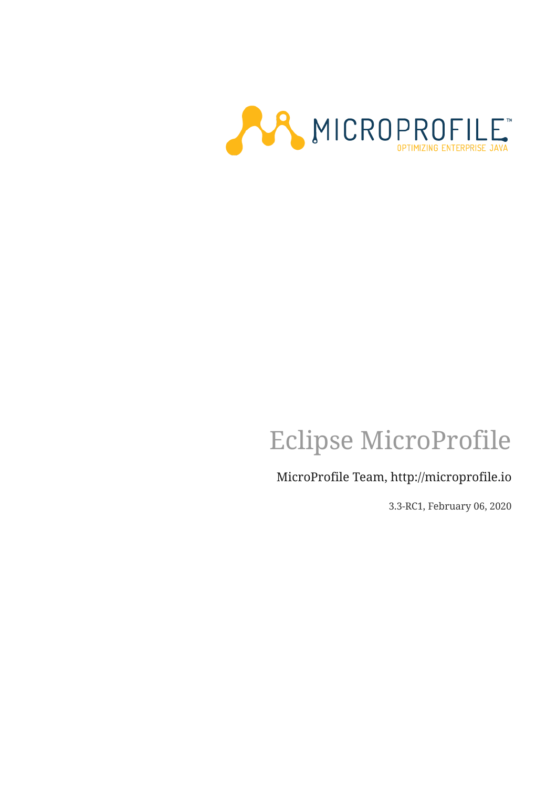

# Eclipse MicroProfile

#### MicroProfile Team, http://microprofile.io

3.3-RC1, February 06, 2020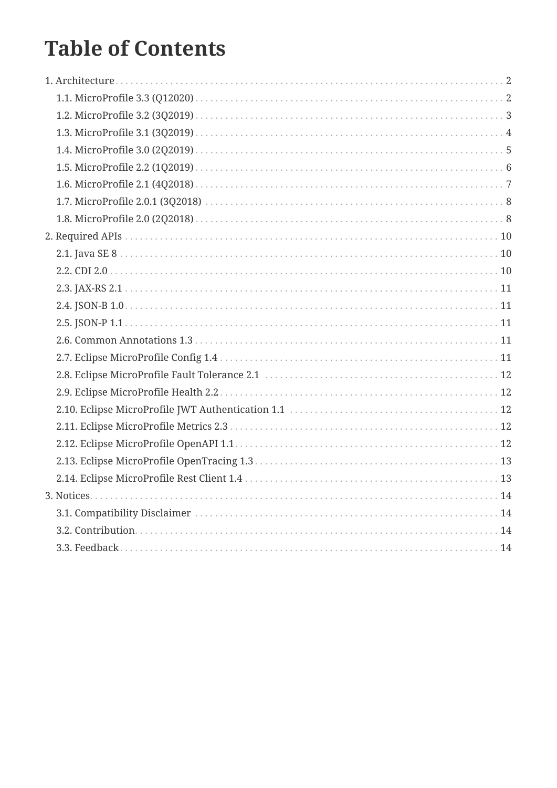## **Table of Contents**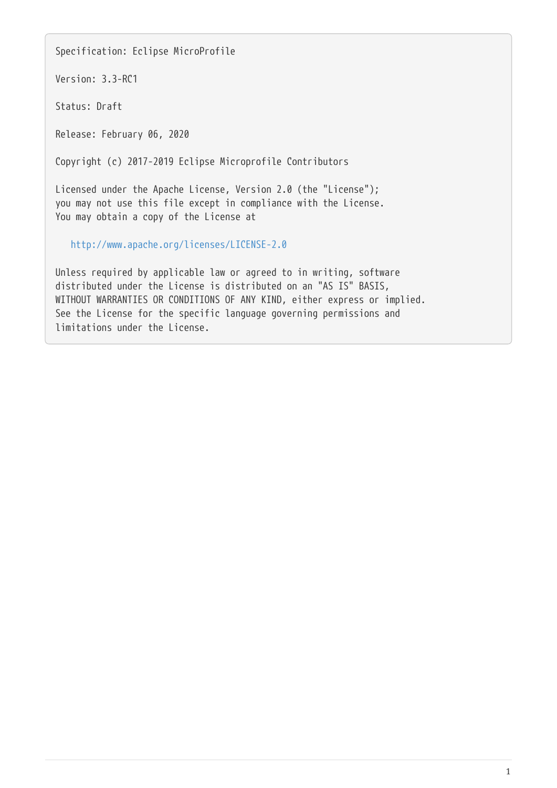Specification: Eclipse MicroProfile

Version: 3.3-RC1

Status: Draft

Release: February 06, 2020

Copyright (c) 2017-2019 Eclipse Microprofile Contributors

Licensed under the Apache License, Version 2.0 (the "License"); you may not use this file except in compliance with the License. You may obtain a copy of the License at

<http://www.apache.org/licenses/LICENSE-2.0>

Unless required by applicable law or agreed to in writing, software distributed under the License is distributed on an "AS IS" BASIS, WITHOUT WARRANTIES OR CONDITIONS OF ANY KIND, either express or implied. See the License for the specific language governing permissions and limitations under the License.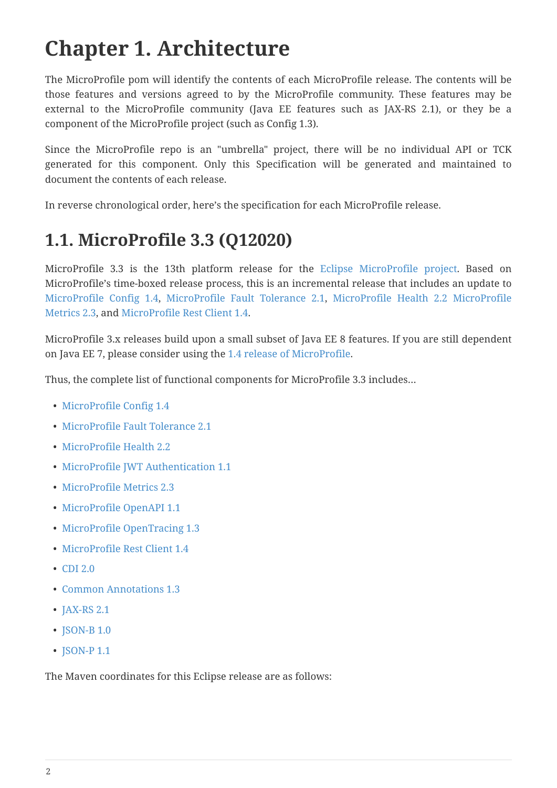## <span id="page-3-0"></span>**Chapter 1. Architecture**

The MicroProfile pom will identify the contents of each MicroProfile release. The contents will be those features and versions agreed to by the MicroProfile community. These features may be external to the MicroProfile community (Java EE features such as JAX-RS 2.1), or they be a component of the MicroProfile project (such as Config 1.3).

Since the MicroProfile repo is an "umbrella" project, there will be no individual API or TCK generated for this component. Only this Specification will be generated and maintained to document the contents of each release.

In reverse chronological order, here's the specification for each MicroProfile release.

## <span id="page-3-1"></span>**1.1. MicroProfile 3.3 (Q12020)**

MicroProfile 3.3 is the 13th platform release for the [Eclipse MicroProfile project.](https://projects.eclipse.org/projects/technology.microprofile) Based on MicroProfile's time-boxed release process, this is an incremental release that includes an update to [MicroProfile Config 1.4](https://github.com/eclipse/microprofile-config/releases/tag/1.4), [MicroProfile Fault Tolerance 2.1](https://github.com/eclipse/microprofile-fault-tolerance/releases/tag/2.1), [MicroProfile Health 2.2](https://github.com/eclipse/microprofile-health/releases/tag/2.2) [MicroProfile](https://github.com/eclipse/microprofile-metrics/releases/tag/2.3) [Metrics 2.3,](https://github.com/eclipse/microprofile-metrics/releases/tag/2.3) and [MicroProfile Rest Client 1.4](https://github.com/eclipse/microprofile-rest-client/releases/tag/1.4).

MicroProfile 3.x releases build upon a small subset of Java EE 8 features. If you are still dependent on Java EE 7, please consider using the [1.4 release of MicroProfile.](https://github.com/eclipse/microprofile/releases/tag/1.4)

Thus, the complete list of functional components for MicroProfile 3.3 includes…

- [MicroProfile Config 1.4](https://github.com/eclipse/microprofile-config/releases/tag/1.4)
- [MicroProfile Fault Tolerance 2.1](https://github.com/eclipse/microprofile-fault-tolerance/releases/tag/2.1)
- [MicroProfile Health 2.2](https://github.com/eclipse/microprofile-health/releases/tag/2.2)
- [MicroProfile JWT Authentication 1.1](https://github.com/eclipse/microprofile-jwt-auth/releases/tag/1.1)
- [MicroProfile Metrics 2.3](https://github.com/eclipse/microprofile-metrics/releases/tag/2.3)
- [MicroProfile OpenAPI 1.1](https://github.com/eclipse/microprofile-open-api/releases/tag/mp-openapi-1.1)
- [MicroProfile OpenTracing 1.3](https://github.com/eclipse/microprofile-opentracing/releases/tag/1.3)
- [MicroProfile Rest Client 1.4](https://github.com/eclipse/microprofile-rest-client/releases/tag/1.4)
- [CDI 2.0](https://jcp.org/en/jsr/detail?id=365)
- [Common Annotations 1.3](https://jcp.org/en/jsr/detail?id=250)
- **[JAX-RS 2.1](https://jcp.org/en/jsr/detail?id=370)**
- **[JSON-B 1.0](https://jcp.org/en/jsr/detail?id=367)**
- **[JSON-P 1.1](https://jcp.org/en/jsr/detail?id=374)**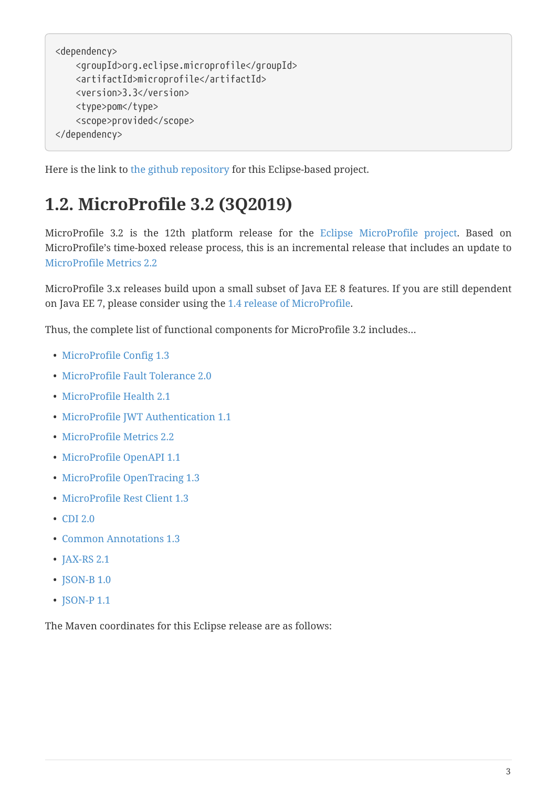```
<dependency>
      <groupId>org.eclipse.microprofile</groupId>
      <artifactId>microprofile</artifactId>
      <version>3.3</version>
      <type>pom</type>
      <scope>provided</scope>
</dependency>
```
### <span id="page-4-0"></span>**1.2. MicroProfile 3.2 (3Q2019)**

MicroProfile 3.2 is the 12th platform release for the [Eclipse MicroProfile project.](https://projects.eclipse.org/projects/technology.microprofile) Based on MicroProfile's time-boxed release process, this is an incremental release that includes an update to [MicroProfile Metrics 2.2](https://github.com/eclipse/microprofile-metrics/releases/tag/2.2)

MicroProfile 3.x releases build upon a small subset of Java EE 8 features. If you are still dependent on Java EE 7, please consider using the [1.4 release of MicroProfile.](https://github.com/eclipse/microprofile/releases/tag/1.4)

Thus, the complete list of functional components for MicroProfile 3.2 includes…

- [MicroProfile Config 1.3](https://github.com/eclipse/microprofile-config/releases/tag/1.3)
- [MicroProfile Fault Tolerance 2.0](https://github.com/eclipse/microprofile-fault-tolerance/releases/tag/2.0)
- [MicroProfile Health 2.1](https://github.com/eclipse/microprofile-health/releases/tag/2.1)
- [MicroProfile JWT Authentication 1.1](https://github.com/eclipse/microprofile-jwt-auth/releases/tag/1.1)
- [MicroProfile Metrics 2.2](https://github.com/eclipse/microprofile-metrics/releases/tag/2.2)
- [MicroProfile OpenAPI 1.1](https://github.com/eclipse/microprofile-open-api/releases/tag/mp-openapi-1.1)
- [MicroProfile OpenTracing 1.3](https://github.com/eclipse/microprofile-opentracing/releases/tag/1.3)
- [MicroProfile Rest Client 1.3](https://github.com/eclipse/microprofile-rest-client/releases/tag/1.3)
- [CDI 2.0](https://jcp.org/en/jsr/detail?id=365)
- [Common Annotations 1.3](https://jcp.org/en/jsr/detail?id=250)
- [JAX-RS 2.1](https://jcp.org/en/jsr/detail?id=370)
- **[JSON-B 1.0](https://jcp.org/en/jsr/detail?id=367)**
- **ISON-P 1.1**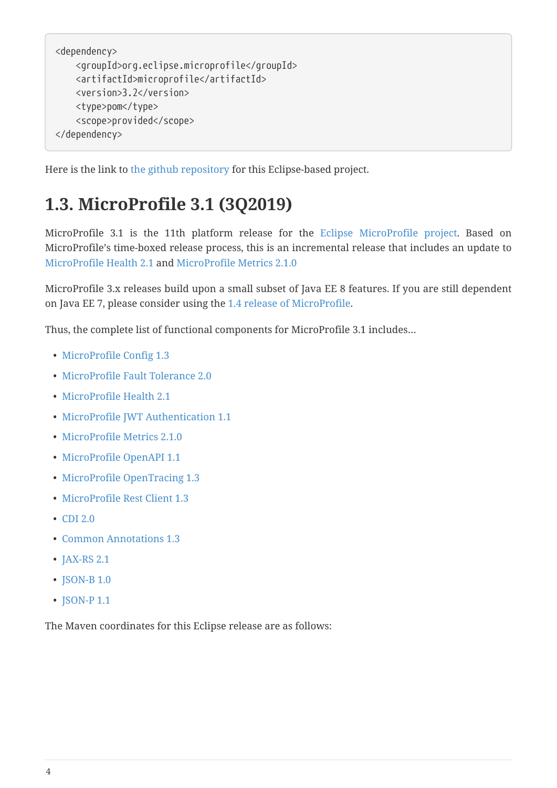```
<dependency>
      <groupId>org.eclipse.microprofile</groupId>
      <artifactId>microprofile</artifactId>
      <version>3.2</version>
      <type>pom</type>
      <scope>provided</scope>
</dependency>
```
## <span id="page-5-0"></span>**1.3. MicroProfile 3.1 (3Q2019)**

MicroProfile 3.1 is the 11th platform release for the [Eclipse MicroProfile project.](https://projects.eclipse.org/projects/technology.microprofile) Based on MicroProfile's time-boxed release process, this is an incremental release that includes an update to [MicroProfile Health 2.1](https://github.com/eclipse/microprofile-health/releases/tag/2.1) and [MicroProfile Metrics 2.1.0](https://github.com/eclipse/microprofile-metrics/releases/tag/2.1.0)

MicroProfile 3.x releases build upon a small subset of Java EE 8 features. If you are still dependent on Java EE 7, please consider using the [1.4 release of MicroProfile.](https://github.com/eclipse/microprofile/releases/tag/1.4)

Thus, the complete list of functional components for MicroProfile 3.1 includes…

- [MicroProfile Config 1.3](https://github.com/eclipse/microprofile-config/releases/tag/1.3)
- [MicroProfile Fault Tolerance 2.0](https://github.com/eclipse/microprofile-fault-tolerance/releases/tag/2.0)
- [MicroProfile Health 2.1](https://github.com/eclipse/microprofile-health/releases/tag/2.1)
- [MicroProfile JWT Authentication 1.1](https://github.com/eclipse/microprofile-jwt-auth/releases/tag/1.1)
- [MicroProfile Metrics 2.1.0](https://github.com/eclipse/microprofile-metrics/releases/tag/2.1.0)
- [MicroProfile OpenAPI 1.1](https://github.com/eclipse/microprofile-open-api/releases/tag/mp-openapi-1.1)
- [MicroProfile OpenTracing 1.3](https://github.com/eclipse/microprofile-opentracing/releases/tag/1.3)
- [MicroProfile Rest Client 1.3](https://github.com/eclipse/microprofile-rest-client/releases/tag/1.3)
- [CDI 2.0](https://jcp.org/en/jsr/detail?id=365)
- [Common Annotations 1.3](https://jcp.org/en/jsr/detail?id=250)
- [JAX-RS 2.1](https://jcp.org/en/jsr/detail?id=370)
- **[JSON-B 1.0](https://jcp.org/en/jsr/detail?id=367)**
- **ISON-P 1.1**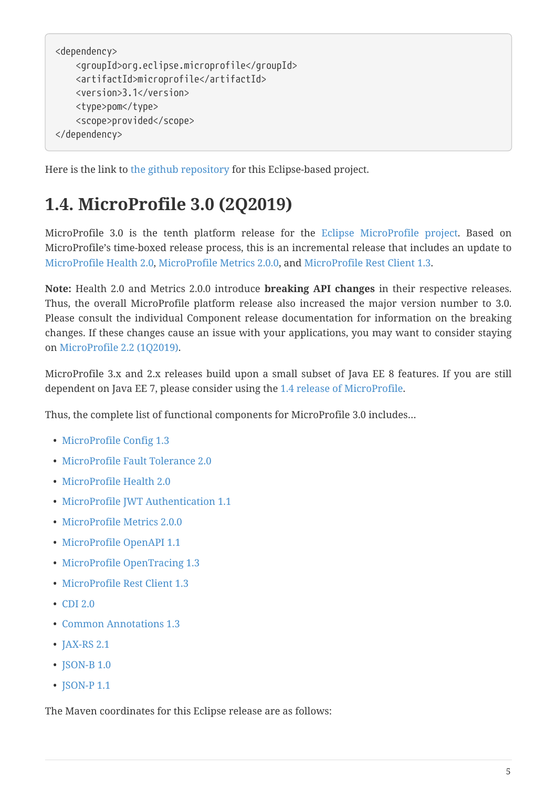```
<dependency>
      <groupId>org.eclipse.microprofile</groupId>
      <artifactId>microprofile</artifactId>
      <version>3.1</version>
      <type>pom</type>
      <scope>provided</scope>
</dependency>
```
## <span id="page-6-0"></span>**1.4. MicroProfile 3.0 (2Q2019)**

MicroProfile 3.0 is the tenth platform release for the [Eclipse MicroProfile project](https://projects.eclipse.org/projects/technology.microprofile). Based on MicroProfile's time-boxed release process, this is an incremental release that includes an update to [MicroProfile Health 2.0](https://github.com/eclipse/microprofile-health/releases/tag/2.0), [MicroProfile Metrics 2.0.0](https://github.com/eclipse/microprofile-metrics/releases/tag/2.0.0), and [MicroProfile Rest Client 1.3.](https://github.com/eclipse/microprofile-rest-client/releases/tag/1.3)

**Note:** Health 2.0 and Metrics 2.0.0 introduce **breaking API changes** in their respective releases. Thus, the overall MicroProfile platform release also increased the major version number to 3.0. Please consult the individual Component release documentation for information on the breaking changes. If these changes cause an issue with your applications, you may want to consider staying on [MicroProfile 2.2 \(1Q2019\).](#page-7-0)

MicroProfile 3.x and 2.x releases build upon a small subset of Java EE 8 features. If you are still dependent on Java EE 7, please consider using the [1.4 release of MicroProfile.](https://github.com/eclipse/microprofile/releases/tag/1.4)

Thus, the complete list of functional components for MicroProfile 3.0 includes…

- [MicroProfile Config 1.3](https://github.com/eclipse/microprofile-config/releases/tag/1.3)
- [MicroProfile Fault Tolerance 2.0](https://github.com/eclipse/microprofile-fault-tolerance/releases/tag/2.0)
- [MicroProfile Health 2.0](https://github.com/eclipse/microprofile-health/releases/tag/2.0)
- [MicroProfile JWT Authentication 1.1](https://github.com/eclipse/microprofile-jwt-auth/releases/tag/1.1)
- [MicroProfile Metrics 2.0.0](https://github.com/eclipse/microprofile-metrics/releases/tag/2.0.0)
- [MicroProfile OpenAPI 1.1](https://github.com/eclipse/microprofile-open-api/releases/tag/mp-openapi-1.1)
- [MicroProfile OpenTracing 1.3](https://github.com/eclipse/microprofile-opentracing/releases/tag/1.3)
- [MicroProfile Rest Client 1.3](https://github.com/eclipse/microprofile-rest-client/releases/tag/1.3)
- [CDI 2.0](https://jcp.org/en/jsr/detail?id=365)
- [Common Annotations 1.3](https://jcp.org/en/jsr/detail?id=250)
- [JAX-RS 2.1](https://jcp.org/en/jsr/detail?id=370)
- [JSON-B 1.0](https://jcp.org/en/jsr/detail?id=367)
- [JSON-P 1.1](https://jcp.org/en/jsr/detail?id=374)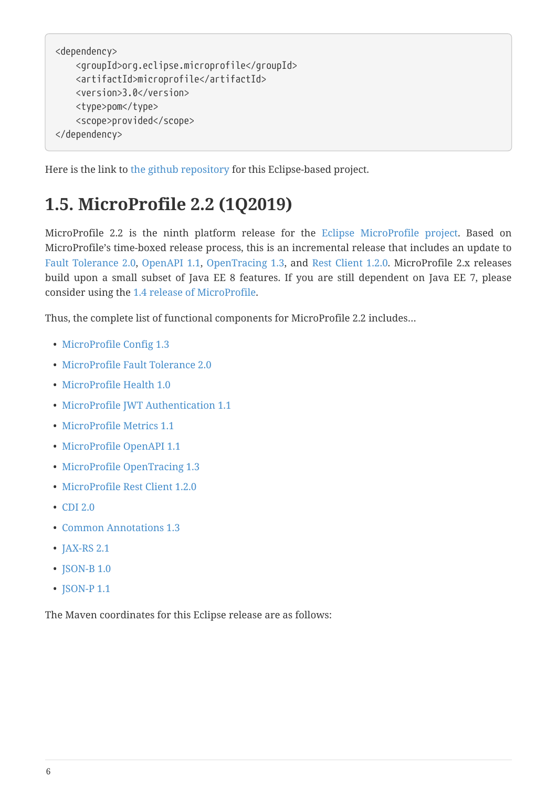```
<dependency>
      <groupId>org.eclipse.microprofile</groupId>
      <artifactId>microprofile</artifactId>
      <version>3.0</version>
      <type>pom</type>
      <scope>provided</scope>
</dependency>
```
## <span id="page-7-0"></span>**1.5. MicroProfile 2.2 (1Q2019)**

MicroProfile 2.2 is the ninth platform release for the [Eclipse MicroProfile project](https://projects.eclipse.org/projects/technology.microprofile). Based on MicroProfile's time-boxed release process, this is an incremental release that includes an update to [Fault Tolerance 2.0](https://github.com/eclipse/microprofile-fault-tolerance/releases/tag/2.0), [OpenAPI 1.1](https://github.com/eclipse/microprofile-open-api/releases/tag/mp-openapi-1.1), [OpenTracing 1.3,](https://github.com/eclipse/microprofile-opentracing/releases/tag/1.3) and [Rest Client 1.2.0.](https://github.com/eclipse/microprofile-rest-client/releases/tag/1.2.0) MicroProfile 2.x releases build upon a small subset of Java EE 8 features. If you are still dependent on Java EE 7, please consider using the [1.4 release of MicroProfile.](https://github.com/eclipse/microprofile/releases/tag/1.4)

Thus, the complete list of functional components for MicroProfile 2.2 includes…

- [MicroProfile Config 1.3](https://github.com/eclipse/microprofile-config/releases/tag/1.3)
- [MicroProfile Fault Tolerance 2.0](https://github.com/eclipse/microprofile-fault-tolerance/releases/tag/2.0)
- [MicroProfile Health 1.0](https://github.com/eclipse/microprofile-health/releases/tag/1.0)
- [MicroProfile JWT Authentication 1.1](https://github.com/eclipse/microprofile-jwt-auth/releases/tag/1.1)
- [MicroProfile Metrics 1.1](https://github.com/eclipse/microprofile-metrics/releases/tag/1.1)
- [MicroProfile OpenAPI 1.1](https://github.com/eclipse/microprofile-open-api/releases/tag/mp-openapi-1.1)
- [MicroProfile OpenTracing 1.3](https://github.com/eclipse/microprofile-opentracing/releases/tag/1.3)
- [MicroProfile Rest Client 1.2.0](https://github.com/eclipse/microprofile-rest-client/releases/tag/1.2.0)
- [CDI 2.0](https://jcp.org/en/jsr/detail?id=365)
- [Common Annotations 1.3](https://jcp.org/en/jsr/detail?id=250)
- **[JAX-RS 2.1](https://jcp.org/en/jsr/detail?id=370)**
- **ISON-B 1.0**
- **ISON-P 1.1**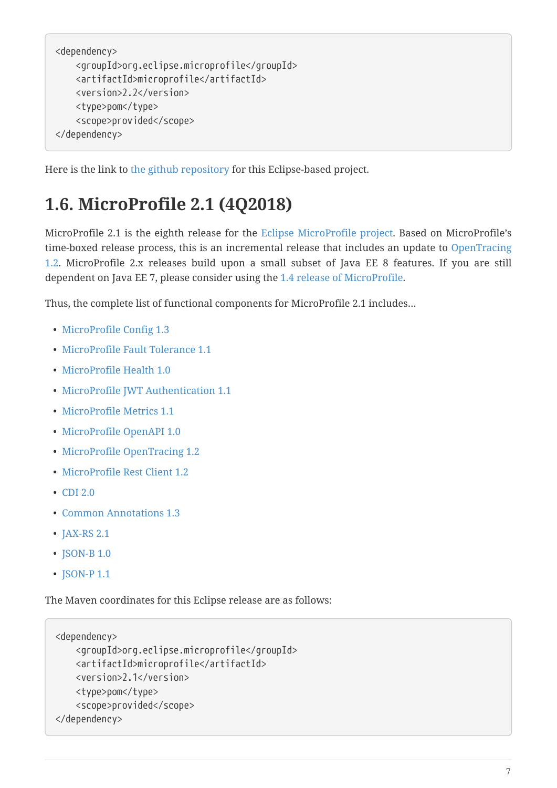```
<dependency>
      <groupId>org.eclipse.microprofile</groupId>
      <artifactId>microprofile</artifactId>
      <version>2.2</version>
      <type>pom</type>
      <scope>provided</scope>
</dependency>
```
### <span id="page-8-0"></span>**1.6. MicroProfile 2.1 (4Q2018)**

MicroProfile 2.1 is the eighth release for the [Eclipse MicroProfile project](https://projects.eclipse.org/projects/technology.microprofile). Based on MicroProfile's time-boxed release process, this is an incremental release that includes an update to [OpenTracing](https://github.com/eclipse/microprofile-opentracing/releases/tag/1.2) [1.2.](https://github.com/eclipse/microprofile-opentracing/releases/tag/1.2) MicroProfile 2.x releases build upon a small subset of Java EE 8 features. If you are still dependent on Java EE 7, please consider using the [1.4 release of MicroProfile.](https://github.com/eclipse/microprofile/releases/tag/1.4)

Thus, the complete list of functional components for MicroProfile 2.1 includes…

- [MicroProfile Config 1.3](https://github.com/eclipse/microprofile-config/releases/tag/1.3)
- [MicroProfile Fault Tolerance 1.1](https://github.com/eclipse/microprofile-fault-tolerance/releases/tag/1.1)
- [MicroProfile Health 1.0](https://github.com/eclipse/microprofile-health/releases/tag/1.0)
- [MicroProfile JWT Authentication 1.1](https://github.com/eclipse/microprofile-jwt-auth/releases/tag/1.1)
- [MicroProfile Metrics 1.1](https://github.com/eclipse/microprofile-metrics/releases/tag/1.1)
- [MicroProfile OpenAPI 1.0](https://github.com/eclipse/microprofile-open-api/releases/tag/1.0)
- [MicroProfile OpenTracing 1.2](https://github.com/eclipse/microprofile-opentracing/releases/tag/1.2)
- [MicroProfile Rest Client 1.2](https://github.com/eclipse/microprofile-rest-client/releases/tag/1.2.0)
- [CDI 2.0](https://jcp.org/en/jsr/detail?id=365)
- [Common Annotations 1.3](https://jcp.org/en/jsr/detail?id=250)
- [JAX-RS 2.1](https://jcp.org/en/jsr/detail?id=370)
- **[JSON-B 1.0](https://jcp.org/en/jsr/detail?id=367)**
- **[JSON-P 1.1](https://jcp.org/en/jsr/detail?id=374)**

```
<dependency>
      <groupId>org.eclipse.microprofile</groupId>
      <artifactId>microprofile</artifactId>
      <version>2.1</version>
      <type>pom</type>
      <scope>provided</scope>
</dependency>
```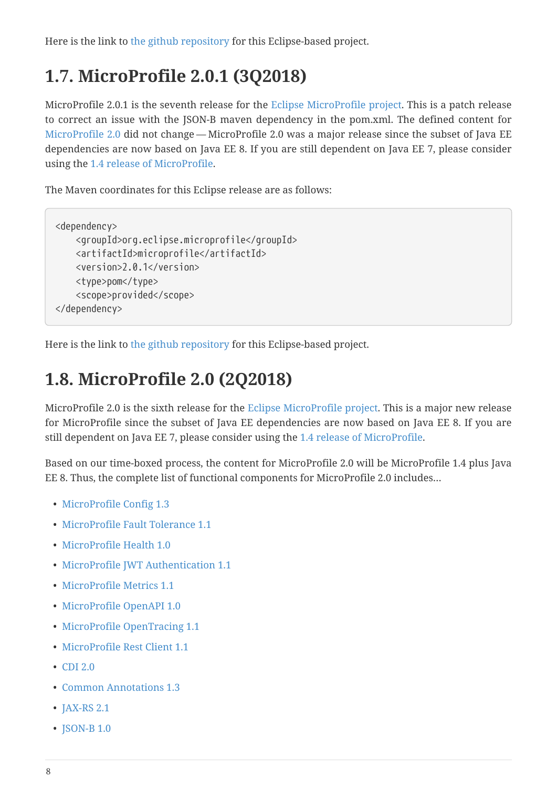## <span id="page-9-0"></span>**1.7. MicroProfile 2.0.1 (3Q2018)**

MicroProfile 2.0.1 is the seventh release for the [Eclipse MicroProfile project](https://projects.eclipse.org/projects/technology.microprofile). This is a patch release to correct an issue with the JSON-B maven dependency in the pom.xml. The defined content for [MicroProfile 2.0](#page-9-1) did not change — MicroProfile 2.0 was a major release since the subset of Java EE dependencies are now based on Java EE 8. If you are still dependent on Java EE 7, please consider using the [1.4 release of MicroProfile.](https://github.com/eclipse/microprofile/releases/tag/1.4)

The Maven coordinates for this Eclipse release are as follows:

```
<dependency>
      <groupId>org.eclipse.microprofile</groupId>
      <artifactId>microprofile</artifactId>
      <version>2.0.1</version>
      <type>pom</type>
      <scope>provided</scope>
</dependency>
```
Here is the link to [the github repository](https://github.com/eclipse/microprofile/releases/tag/2.0.1) for this Eclipse-based project.

## <span id="page-9-1"></span>**1.8. MicroProfile 2.0 (2Q2018)**

MicroProfile 2.0 is the sixth release for the [Eclipse MicroProfile project.](https://projects.eclipse.org/projects/technology.microprofile) This is a major new release for MicroProfile since the subset of Java EE dependencies are now based on Java EE 8. If you are still dependent on Java EE 7, please consider using the [1.4 release of MicroProfile.](https://github.com/eclipse/microprofile/releases/tag/1.4)

Based on our time-boxed process, the content for MicroProfile 2.0 will be MicroProfile 1.4 plus Java EE 8. Thus, the complete list of functional components for MicroProfile 2.0 includes…

- [MicroProfile Config 1.3](https://github.com/eclipse/microprofile-config/releases/tag/1.3)
- [MicroProfile Fault Tolerance 1.1](https://github.com/eclipse/microprofile-fault-tolerance/releases/tag/1.1)
- [MicroProfile Health 1.0](https://github.com/eclipse/microprofile-health/releases/tag/1.0)
- [MicroProfile JWT Authentication 1.1](https://github.com/eclipse/microprofile-jwt-auth/releases/tag/1.1)
- [MicroProfile Metrics 1.1](https://github.com/eclipse/microprofile-metrics/releases/tag/1.1)
- [MicroProfile OpenAPI 1.0](https://github.com/eclipse/microprofile-open-api/releases/tag/1.0)
- [MicroProfile OpenTracing 1.1](https://github.com/eclipse/microprofile-opentracing/releases/tag/1.1)
- [MicroProfile Rest Client 1.1](https://github.com/eclipse/microprofile-rest-client/releases/tag/1.1)
- [CDI 2.0](https://jcp.org/en/jsr/detail?id=365)
- [Common Annotations 1.3](https://jcp.org/en/jsr/detail?id=250)
- **[JAX-RS 2.1](https://jcp.org/en/jsr/detail?id=370)**
- [JSON-B 1.0](https://jcp.org/en/jsr/detail?id=367)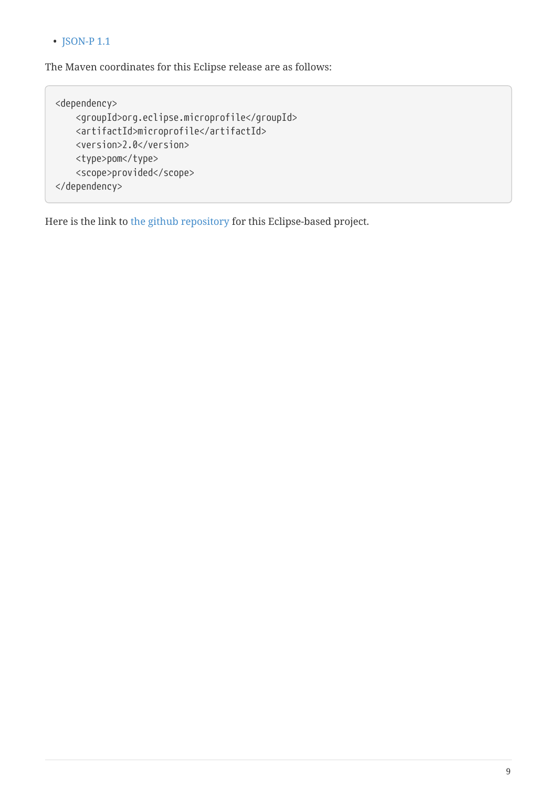• [JSON-P 1.1](https://jcp.org/en/jsr/detail?id=374)

The Maven coordinates for this Eclipse release are as follows:

```
<dependency>
      <groupId>org.eclipse.microprofile</groupId>
      <artifactId>microprofile</artifactId>
      <version>2.0</version>
      <type>pom</type>
      <scope>provided</scope>
</dependency>
```
Here is the link to [the github repository](https://github.com/eclipse/microprofile/releases/tag/2.0) for this Eclipse-based project.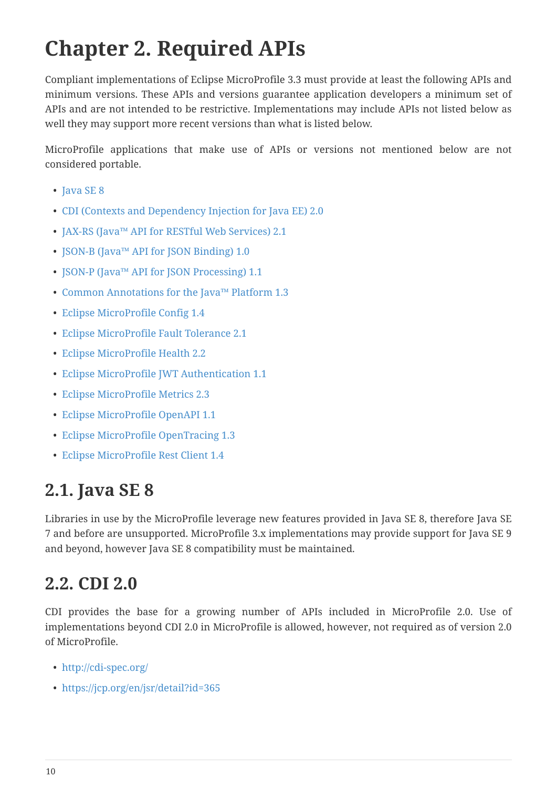# <span id="page-11-0"></span>**Chapter 2. Required APIs**

Compliant implementations of Eclipse MicroProfile 3.3 must provide at least the following APIs and minimum versions. These APIs and versions guarantee application developers a minimum set of APIs and are not intended to be restrictive. Implementations may include APIs not listed below as well they may support more recent versions than what is listed below.

MicroProfile applications that make use of APIs or versions not mentioned below are not considered portable.

- [Java SE 8](#page-11-1)
- [CDI \(Contexts and Dependency Injection for Java EE\) 2.0](#page-11-2)
- [JAX-RS \(Java™ API for RESTful Web Services\) 2.1](#page-12-0)
- [JSON-B \(Java™ API for JSON Binding\) 1.0](#page-12-1)
- [JSON-P \(Java™ API for JSON Processing\) 1.1](#page-12-2)
- [Common Annotations for the Java™ Platform 1.3](#page-12-3)
- [Eclipse MicroProfile Config 1.4](#page-12-4)
- [Eclipse MicroProfile Fault Tolerance 2.1](#page-13-0)
- [Eclipse MicroProfile Health 2.2](#page-13-1)
- [Eclipse MicroProfile JWT Authentication 1.1](#page-13-2)
- [Eclipse MicroProfile Metrics 2.3](#page-13-3)
- Eclipse MicroProfile OpenAPI 1.1
- [Eclipse MicroProfile OpenTracing 1.3](#page-14-0)
- [Eclipse MicroProfile Rest Client 1.4](#page-14-1)

#### <span id="page-11-1"></span>**2.1. Java SE 8**

Libraries in use by the MicroProfile leverage new features provided in Java SE 8, therefore Java SE 7 and before are unsupported. MicroProfile 3.x implementations may provide support for Java SE 9 and beyond, however Java SE 8 compatibility must be maintained.

#### <span id="page-11-2"></span>**2.2. CDI 2.0**

CDI provides the base for a growing number of APIs included in MicroProfile 2.0. Use of implementations beyond CDI 2.0 in MicroProfile is allowed, however, not required as of version 2.0 of MicroProfile.

- <http://cdi-spec.org/>
- <https://jcp.org/en/jsr/detail?id=365>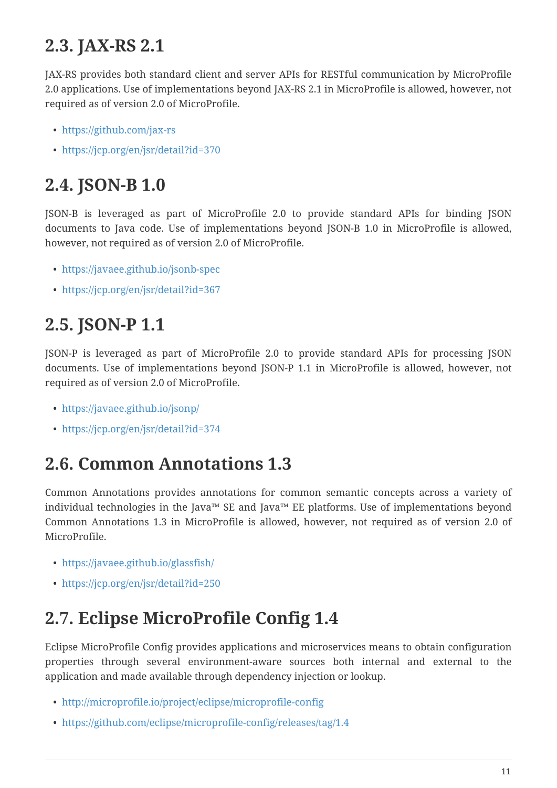## <span id="page-12-0"></span>**2.3. JAX-RS 2.1**

JAX-RS provides both standard client and server APIs for RESTful communication by MicroProfile 2.0 applications. Use of implementations beyond JAX-RS 2.1 in MicroProfile is allowed, however, not required as of version 2.0 of MicroProfile.

- <https://github.com/jax-rs>
- <https://jcp.org/en/jsr/detail?id=370>

## <span id="page-12-1"></span>**2.4. JSON-B 1.0**

JSON-B is leveraged as part of MicroProfile 2.0 to provide standard APIs for binding JSON documents to Java code. Use of implementations beyond JSON-B 1.0 in MicroProfile is allowed, however, not required as of version 2.0 of MicroProfile.

- <https://javaee.github.io/jsonb-spec>
- <https://jcp.org/en/jsr/detail?id=367>

## <span id="page-12-2"></span>**2.5. JSON-P 1.1**

JSON-P is leveraged as part of MicroProfile 2.0 to provide standard APIs for processing JSON documents. Use of implementations beyond JSON-P 1.1 in MicroProfile is allowed, however, not required as of version 2.0 of MicroProfile.

- <https://javaee.github.io/jsonp/>
- <https://jcp.org/en/jsr/detail?id=374>

### <span id="page-12-3"></span>**2.6. Common Annotations 1.3**

Common Annotations provides annotations for common semantic concepts across a variety of individual technologies in the Java™ SE and Java™ EE platforms. Use of implementations beyond Common Annotations 1.3 in MicroProfile is allowed, however, not required as of version 2.0 of MicroProfile.

- <https://javaee.github.io/glassfish/>
- <https://jcp.org/en/jsr/detail?id=250>

## <span id="page-12-4"></span>**2.7. Eclipse MicroProfile Config 1.4**

Eclipse MicroProfile Config provides applications and microservices means to obtain configuration properties through several environment-aware sources both internal and external to the application and made available through dependency injection or lookup.

- <http://microprofile.io/project/eclipse/microprofile-config>
- <https://github.com/eclipse/microprofile-config/releases/tag/1.4>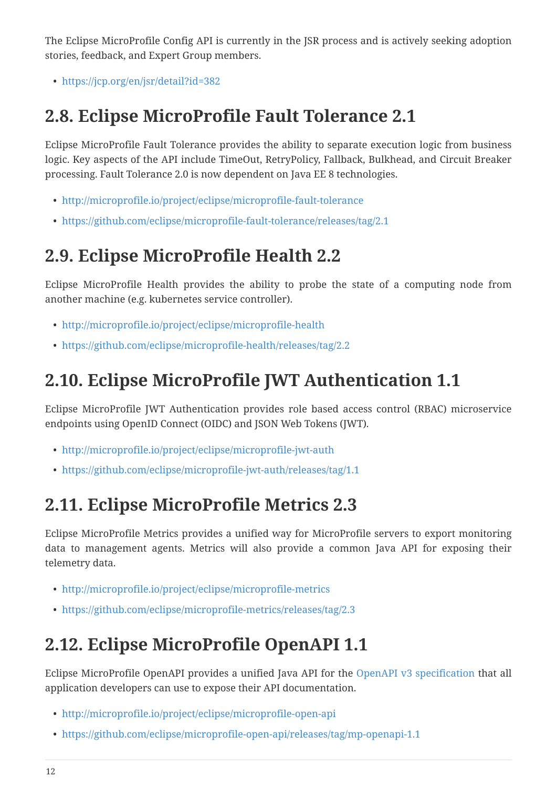The Eclipse MicroProfile Config API is currently in the JSR process and is actively seeking adoption stories, feedback, and Expert Group members.

• <https://jcp.org/en/jsr/detail?id=382>

### <span id="page-13-0"></span>**2.8. Eclipse MicroProfile Fault Tolerance 2.1**

Eclipse MicroProfile Fault Tolerance provides the ability to separate execution logic from business logic. Key aspects of the API include TimeOut, RetryPolicy, Fallback, Bulkhead, and Circuit Breaker processing. Fault Tolerance 2.0 is now dependent on Java EE 8 technologies.

- <http://microprofile.io/project/eclipse/microprofile-fault-tolerance>
- <https://github.com/eclipse/microprofile-fault-tolerance/releases/tag/2.1>

## <span id="page-13-1"></span>**2.9. Eclipse MicroProfile Health 2.2**

Eclipse MicroProfile Health provides the ability to probe the state of a computing node from another machine (e.g. kubernetes service controller).

- <http://microprofile.io/project/eclipse/microprofile-health>
- <https://github.com/eclipse/microprofile-health/releases/tag/2.2>

## <span id="page-13-2"></span>**2.10. Eclipse MicroProfile JWT Authentication 1.1**

Eclipse MicroProfile JWT Authentication provides role based access control (RBAC) microservice endpoints using OpenID Connect (OIDC) and JSON Web Tokens (JWT).

- <http://microprofile.io/project/eclipse/microprofile-jwt-auth>
- <https://github.com/eclipse/microprofile-jwt-auth/releases/tag/1.1>

## <span id="page-13-3"></span>**2.11. Eclipse MicroProfile Metrics 2.3**

Eclipse MicroProfile Metrics provides a unified way for MicroProfile servers to export monitoring data to management agents. Metrics will also provide a common Java API for exposing their telemetry data.

- <http://microprofile.io/project/eclipse/microprofile-metrics>
- <https://github.com/eclipse/microprofile-metrics/releases/tag/2.3>

## <span id="page-13-4"></span>**2.12. Eclipse MicroProfile OpenAPI 1.1**

Eclipse MicroProfile OpenAPI provides a unified Java API for the [OpenAPI v3 specification](https://github.com/OAI/OpenAPI-Specification/blob/master/versions/3.0.0.md) that all application developers can use to expose their API documentation.

- <http://microprofile.io/project/eclipse/microprofile-open-api>
- <https://github.com/eclipse/microprofile-open-api/releases/tag/mp-openapi-1.1>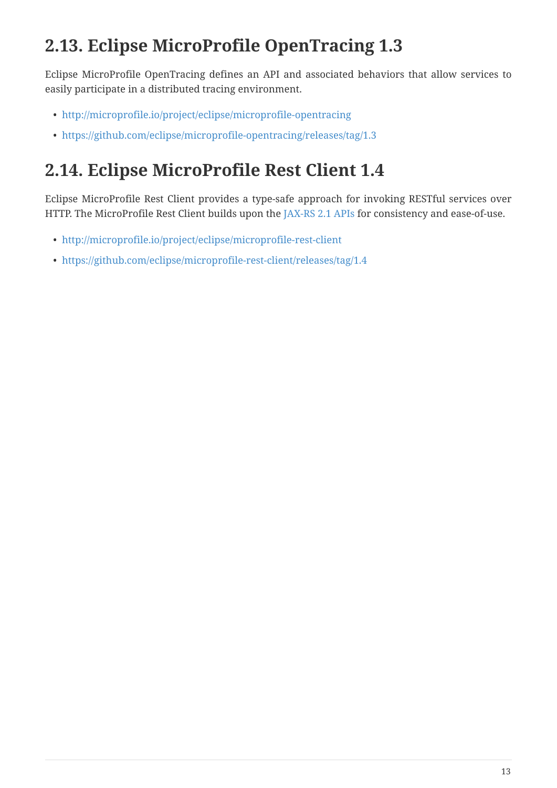## <span id="page-14-0"></span>**2.13. Eclipse MicroProfile OpenTracing 1.3**

Eclipse MicroProfile OpenTracing defines an API and associated behaviors that allow services to easily participate in a distributed tracing environment.

- <http://microprofile.io/project/eclipse/microprofile-opentracing>
- <https://github.com/eclipse/microprofile-opentracing/releases/tag/1.3>

## <span id="page-14-1"></span>**2.14. Eclipse MicroProfile Rest Client 1.4**

Eclipse MicroProfile Rest Client provides a type-safe approach for invoking RESTful services over HTTP. The MicroProfile Rest Client builds upon the [JAX-RS 2.1 APIs](https://github.com/jax-rs) for consistency and ease-of-use.

- <http://microprofile.io/project/eclipse/microprofile-rest-client>
- <https://github.com/eclipse/microprofile-rest-client/releases/tag/1.4>